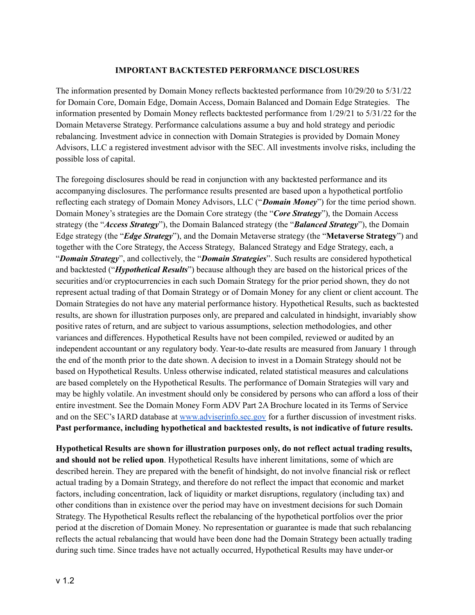## **IMPORTANT BACKTESTED PERFORMANCE DISCLOSURES**

The information presented by Domain Money reflects backtested performance from 10/29/20 to 5/31/22 for Domain Core, Domain Edge, Domain Access, Domain Balanced and Domain Edge Strategies. The information presented by Domain Money reflects backtested performance from 1/29/21 to 5/31/22 for the Domain Metaverse Strategy. Performance calculations assume a buy and hold strategy and periodic rebalancing. Investment advice in connection with Domain Strategies is provided by Domain Money Advisors, LLC a registered investment advisor with the SEC. All investments involve risks, including the possible loss of capital.

The foregoing disclosures should be read in conjunction with any backtested performance and its accompanying disclosures. The performance results presented are based upon a hypothetical portfolio reflecting each strategy of Domain Money Advisors, LLC ("*Domain Money*") for the time period shown. Domain Money's strategies are the Domain Core strategy (the "*Core Strategy*"), the Domain Access strategy (the "*Access Strategy*"), the Domain Balanced strategy (the "*Balanced Strategy*"), the Domain Edge strategy (the "*Edge Strategy*"), and the Domain Metaverse strategy (the "**Metaverse Strategy**") and together with the Core Strategy, the Access Strategy, Balanced Strategy and Edge Strategy, each, a "*Domain Strategy*", and collectively, the "*Domain Strategies*". Such results are considered hypothetical and backtested ("*Hypothetical Results*") because although they are based on the historical prices of the securities and/or cryptocurrencies in each such Domain Strategy for the prior period shown, they do not represent actual trading of that Domain Strategy or of Domain Money for any client or client account. The Domain Strategies do not have any material performance history. Hypothetical Results, such as backtested results, are shown for illustration purposes only, are prepared and calculated in hindsight, invariably show positive rates of return, and are subject to various assumptions, selection methodologies, and other variances and differences. Hypothetical Results have not been compiled, reviewed or audited by an independent accountant or any regulatory body. Year-to-date results are measured from January 1 through the end of the month prior to the date shown. A decision to invest in a Domain Strategy should not be based on Hypothetical Results. Unless otherwise indicated, related statistical measures and calculations are based completely on the Hypothetical Results. The performance of Domain Strategies will vary and may be highly volatile. An investment should only be considered by persons who can afford a loss of their entire investment. See the Domain Money Form ADV Part 2A Brochure located in its Terms of Service and on the SEC's IARD database at [www.adviserinfo.sec.gov](http://www.adviserinfo.sec.gov/) for a further discussion of investment risks. **Past performance, including hypothetical and backtested results, is not indicative of future results.**

**Hypothetical Results are shown for illustration purposes only, do not reflect actual trading results, and should not be relied upon**. Hypothetical Results have inherent limitations, some of which are described herein. They are prepared with the benefit of hindsight, do not involve financial risk or reflect actual trading by a Domain Strategy, and therefore do not reflect the impact that economic and market factors, including concentration, lack of liquidity or market disruptions, regulatory (including tax) and other conditions than in existence over the period may have on investment decisions for such Domain Strategy. The Hypothetical Results reflect the rebalancing of the hypothetical portfolios over the prior period at the discretion of Domain Money. No representation or guarantee is made that such rebalancing reflects the actual rebalancing that would have been done had the Domain Strategy been actually trading during such time. Since trades have not actually occurred, Hypothetical Results may have under-or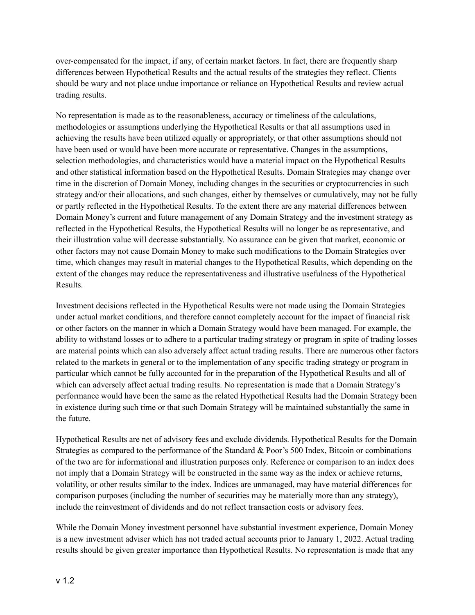over-compensated for the impact, if any, of certain market factors. In fact, there are frequently sharp differences between Hypothetical Results and the actual results of the strategies they reflect. Clients should be wary and not place undue importance or reliance on Hypothetical Results and review actual trading results.

No representation is made as to the reasonableness, accuracy or timeliness of the calculations, methodologies or assumptions underlying the Hypothetical Results or that all assumptions used in achieving the results have been utilized equally or appropriately, or that other assumptions should not have been used or would have been more accurate or representative. Changes in the assumptions, selection methodologies, and characteristics would have a material impact on the Hypothetical Results and other statistical information based on the Hypothetical Results. Domain Strategies may change over time in the discretion of Domain Money, including changes in the securities or cryptocurrencies in such strategy and/or their allocations, and such changes, either by themselves or cumulatively, may not be fully or partly reflected in the Hypothetical Results. To the extent there are any material differences between Domain Money's current and future management of any Domain Strategy and the investment strategy as reflected in the Hypothetical Results, the Hypothetical Results will no longer be as representative, and their illustration value will decrease substantially. No assurance can be given that market, economic or other factors may not cause Domain Money to make such modifications to the Domain Strategies over time, which changes may result in material changes to the Hypothetical Results, which depending on the extent of the changes may reduce the representativeness and illustrative usefulness of the Hypothetical Results.

Investment decisions reflected in the Hypothetical Results were not made using the Domain Strategies under actual market conditions, and therefore cannot completely account for the impact of financial risk or other factors on the manner in which a Domain Strategy would have been managed. For example, the ability to withstand losses or to adhere to a particular trading strategy or program in spite of trading losses are material points which can also adversely affect actual trading results. There are numerous other factors related to the markets in general or to the implementation of any specific trading strategy or program in particular which cannot be fully accounted for in the preparation of the Hypothetical Results and all of which can adversely affect actual trading results. No representation is made that a Domain Strategy's performance would have been the same as the related Hypothetical Results had the Domain Strategy been in existence during such time or that such Domain Strategy will be maintained substantially the same in the future.

Hypothetical Results are net of advisory fees and exclude dividends. Hypothetical Results for the Domain Strategies as compared to the performance of the Standard & Poor's 500 Index, Bitcoin or combinations of the two are for informational and illustration purposes only. Reference or comparison to an index does not imply that a Domain Strategy will be constructed in the same way as the index or achieve returns, volatility, or other results similar to the index. Indices are unmanaged, may have material differences for comparison purposes (including the number of securities may be materially more than any strategy), include the reinvestment of dividends and do not reflect transaction costs or advisory fees.

While the Domain Money investment personnel have substantial investment experience, Domain Money is a new investment adviser which has not traded actual accounts prior to January 1, 2022. Actual trading results should be given greater importance than Hypothetical Results. No representation is made that any